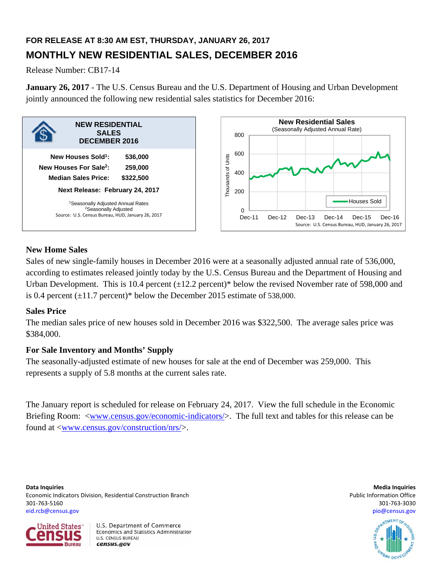# **FOR RELEASE AT 8:30 AM EST, THURSDAY, JANUARY 26, 2017 MONTHLY NEW RESIDENTIAL SALES, DECEMBER 2016**

Release Number: CB17-14

**January 26, 2017** - The U.S. Census Bureau and the U.S. Department of Housing and Urban Development jointly announced the following new residential sales statistics for December 2016:



# **New Home Sales**

Sales of new single-family houses in December 2016 were at a seasonally adjusted annual rate of 536,000, according to estimates released jointly today by the U.S. Census Bureau and the Department of Housing and Urban Development. This is 10.4 percent  $(\pm 12.2 \text{ percent})^*$  below the revised November rate of 598,000 and is 0.4 percent  $(\pm 11.7 \text{ percent})^*$  below the December 2015 estimate of 538,000.

# **Sales Price**

The median sales price of new houses sold in December 2016 was \$322,500. The average sales price was \$384,000.

# **For Sale Inventory and Months' Supply**

The seasonally-adjusted estimate of new houses for sale at the end of December was 259,000. This represents a supply of 5.8 months at the current sales rate.

The January report is scheduled for release on February 24, 2017. View the full schedule in the Economic Briefing Room: <www.census.gov/economic-indicators/>. The full text and tables for this release can be found at <www.census.gov/construction/nrs/>.

**Data Inquiries Media Inquiries** Economic Indicators Division, Residential Construction Branch **Public Information Construction Branch** Public Information Office 301‐763‐5160 301‐763‐3030 eid.rcb@census.gov pio@census.gov



U.S. Department of Commerce Economics and Statistics Administration **U.S. CENSUS BUREAU** census.gov

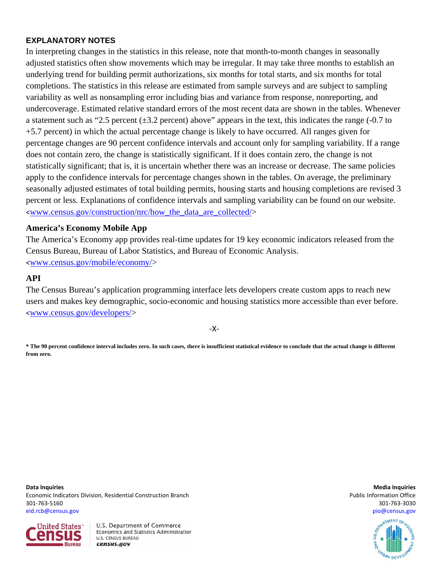# **EXPLANATORY NOTES**

In interpreting changes in the statistics in this release, note that month-to-month changes in seasonally adjusted statistics often show movements which may be irregular. It may take three months to establish an underlying trend for building permit authorizations, six months for total starts, and six months for total completions. The statistics in this release are estimated from sample surveys and are subject to sampling variability as well as nonsampling error including bias and variance from response, nonreporting, and undercoverage. Estimated relative standard errors of the most recent data are shown in the tables. Whenever a statement such as "2.5 percent  $(\pm 3.2$  percent) above" appears in the text, this indicates the range (-0.7 to +5.7 percent) in which the actual percentage change is likely to have occurred. All ranges given for percentage changes are 90 percent confidence intervals and account only for sampling variability. If a range does not contain zero, the change is statistically significant. If it does contain zero, the change is not statistically significant; that is, it is uncertain whether there was an increase or decrease. The same policies apply to the confidence intervals for percentage changes shown in the tables. On average, the preliminary seasonally adjusted estimates of total building permits, housing starts and housing completions are revised 3 percent or less. Explanations of confidence intervals and sampling variability can be found on our website.  $\langle$ www.census.gov/construction/nrc/how the data are collected/ $>$ 

## **America's Economy Mobile App**

The America's Economy app provides real-time updates for 19 key economic indicators released from the Census Bureau, Bureau of Labor Statistics, and Bureau of Economic Analysis.

<www.census.gov/mobile/economy/>

# **API**

The Census Bureau's application programming interface lets developers create custom apps to reach new users and makes key demographic, socio-economic and housing statistics more accessible than ever before. <www.census.gov/developers/>

‐X‐

**\* The 90 percent confidence interval includes zero. In such cases, there is insufficient statistical evidence to conclude that the actual change is different from zero.**

**Data Inquiries Media Inquiries** Economic Indicators Division, Residential Construction Branch **Public Information Construction Branch** Public Information Office 301‐763‐5160 301‐763‐3030 eid.rcb@census.gov pio@census.gov



U.S. Department of Commerce Economics and Statistics Administration **U.S. CENSUS BUREAU** census.gov

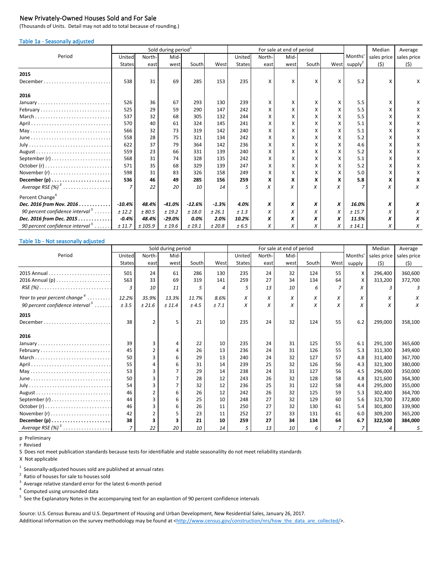### New Privately-Owned Houses Sold and For Sale

(Thousands of Units. Detail may not add to total because of rounding.)

#### Table 1a - Seasonally adjusted

|                                                                          |               |        | Sold during period <sup>1</sup> |          |         |               |        | For sale at end of period |       |   | Median                   |             | Average     |
|--------------------------------------------------------------------------|---------------|--------|---------------------------------|----------|---------|---------------|--------|---------------------------|-------|---|--------------------------|-------------|-------------|
| Period                                                                   | United        | North- | Mid-                            |          |         | United        | North- | Mid-                      |       |   | Months'                  | sales price | sales price |
|                                                                          | <b>States</b> | east   | west                            | South    | West    | <b>States</b> | east   | west                      | South |   | West supply <sup>2</sup> | (5)         | (5)         |
| 2015                                                                     |               |        |                                 |          |         |               |        |                           |       |   |                          |             |             |
| December.                                                                | 538           | 31     | 69                              | 285      | 153     | 235           | X      | x                         | X     | X | 5.2                      | X           | x           |
| 2016                                                                     |               |        |                                 |          |         |               |        |                           |       |   |                          |             |             |
| January                                                                  | 526           | 36     | 67                              | 293      | 130     | 239           | x      | x                         | x     | X | 5.5                      | x           | x           |
| February                                                                 | 525           | 29     | 59                              | 290      | 147     | 242           | x      | X                         | X     | X | 5.5                      |             | x           |
| March                                                                    | 537           | 32     | 68                              | 305      | 132     | 244           | X      | X                         |       | X | 5.5                      |             |             |
|                                                                          | 570           | 40     | 61                              | 324      | 145     | 241           | х      | Χ                         | X     | X | 5.1                      | х           |             |
|                                                                          | 566           | 32     | 73                              | 319      | 142     | 240           | х      | Χ                         |       | X | 5.1                      |             |             |
| $June \dots \dots \dots \dots \dots \dots \dots \dots \dots \dots \dots$ | 558           | 28     | 75                              | 321      | 134     | 242           | x      | Χ                         |       |   | 5.2                      |             |             |
|                                                                          | 622           | 37     | 79                              | 364      | 142     | 236           | x      | x                         |       |   | 4.6                      |             |             |
|                                                                          | 559           | 23     | 66                              | 331      | 139     | 240           | x      | X                         | X     | X | 5.2                      |             |             |
|                                                                          | 568           | 31     | 74                              | 328      | 135     | 242           | X      | X                         | X     | X | 5.1                      | Χ           | x           |
|                                                                          | 571           | 35     | 68                              | 329      | 139     | 247           | X      | Χ                         | X     | X | 5.2                      | Χ           |             |
|                                                                          | 598           | 31     | 83                              | 326      | 158     | 249           | Χ      | Χ                         |       |   | 5.0                      |             |             |
|                                                                          | 536           | 46     | 49                              | 285      | 156     | 259           | x      | x                         | X     |   | 5.8                      |             | x           |
| Average RSE $(\%)$ <sup>3</sup>                                          | 7             | 22     | 20                              | 10       | 14      | 5             | X      | X                         |       | X |                          |             | X           |
| Percent Change <sup>4</sup>                                              |               |        |                                 |          |         |               |        |                           |       |   |                          |             |             |
| Dec. 2016 from Nov. 2016                                                 | $-10.4%$      | 48.4%  | $-41.0%$                        | $-12.6%$ | $-1.3%$ | 4.0%          | x      | X                         | X     | x | 16.0%                    | x           |             |
| 90 percent confidence interval $5$                                       | ± 12.2        | ± 80.5 | ± 19.2                          | ±18.0    | ± 26.1  | ±1.3          | X      | X                         | X     | X | ± 15.7                   | X           |             |
| Dec. 2016 from Dec. 2015                                                 | $-0.4%$       | 48.4%  | $-29.0\%$                       | 0.0%     | 2.0%    | 10.2%         | x      | X                         | X     | X | 11.5%                    | x           | x           |
| 90 percent confidence interval $\frac{5}{2}$                             | ± 11.7        | ±105.9 | ± 19.6                          | ± 19.1   | ± 20.8  | ± 6.5         | X      | x                         | X     | X | ± 14.1                   | х           | X           |

### Table 1b - Not seasonally adjusted

|                                                                                |                |               | Sold during period |       |       |               |        | For sale at end of period |       |      |               | Median      | Average     |
|--------------------------------------------------------------------------------|----------------|---------------|--------------------|-------|-------|---------------|--------|---------------------------|-------|------|---------------|-------------|-------------|
| Period                                                                         | United         | North-        | Mid-               |       |       | United        | North- | Mid-                      |       |      | <b>Months</b> | sales price | sales price |
|                                                                                | <b>States</b>  | east          | west               | South | West  | <b>States</b> | east   | west                      | South | West | supply        | (5)         | (5)         |
|                                                                                | 501            | 24            | 61                 | 286   | 130   | 235           | 24     | 32                        | 124   | 55   | X             | 296,400     | 360,600     |
|                                                                                | 563            | 33            | 69                 | 319   | 141   | 259           | 27     | 34                        | 134   | 64   |               | 313,200     | 372,700     |
| $RSE(%) \ldots \ldots \ldots \ldots \ldots \ldots \ldots \ldots \ldots \ldots$ |                | 10            | 11                 |       | 4     | 5             | 13     | 10                        | 6     |      | X             | 3           | 3           |
| Year to year percent change <sup>4</sup>                                       | 12.2%          | 35.9%         | 13.3%              | 11.7% | 8.6%  | X             | X      | X                         | X     | X    | X             | X           | X           |
| 90 percent confidence interval $5$                                             | ± 3.5          | ± 21.6        | ± 11.4             | ± 4.5 | ± 7.1 | X             | X      | X                         | X     | X    |               | X           | X           |
| 2015                                                                           |                |               |                    |       |       |               |        |                           |       |      |               |             |             |
|                                                                                | 38             | $\mathcal{P}$ | 5                  | 21    | 10    | 235           | 24     | 32                        | 124   | 55   | 6.2           | 299,000     | 358,100     |
| 2016                                                                           |                |               |                    |       |       |               |        |                           |       |      |               |             |             |
| January                                                                        | 39             | ς             | Δ                  | 22    | 10    | 235           | 24     | 31                        | 125   | 55   | 6.1           | 291,100     | 365,600     |
| February                                                                       | 45             |               | 4                  | 26    | 13    | 236           | 24     | 31                        | 126   | 55   | 5.3           | 311,300     | 349,400     |
|                                                                                | 50             |               | 6                  | 29    | 13    | 240           | 24     | 32                        | 127   | 57   | 4.8           | 311,400     | 367,700     |
|                                                                                | 55             |               |                    | 31    | 14    | 239           | 25     | 32                        | 126   | 56   | 4.3           | 321,300     | 380,000     |
| May                                                                            | 53             | ς             |                    | 29    | 14    | 238           | 24     | 31                        | 127   | 56   | 4.5           | 296,000     | 350,000     |
|                                                                                | 50             | ς             |                    | 28    | 12    | 243           | 26     | 32                        | 128   | 58   | 4.8           | 321,600     | 364,300     |
|                                                                                | 54             |               |                    | 32    | 12    | 236           | 25     | 31                        | 122   | 58   | 4.4           | 295,000     | 355,000     |
|                                                                                | 46             |               | 6                  | 26    | 12    | 242           | 26     | 32                        | 125   | 59   | 5.3           | 302,400     | 364,700     |
|                                                                                | 44             | ς             | 6                  | 25    | 10    | 248           | 27     | 32                        | 129   | 60   | 5.6           | 323,700     | 372,800     |
|                                                                                | 46             |               |                    | 26    | 11    | 250           | 27     | 32                        | 130   | 61   | 5.4           | 301.800     | 339,900     |
|                                                                                | 42             |               |                    | 23    | 11    | 252           | 27     | 33                        | 131   | 61   | 6.0           | 309,200     | 365,200     |
|                                                                                | 38             | ર             |                    | 21    | 10    | 259           | 27     | 34                        | 134   | 64   | 6.7           | 322,500     | 384,000     |
| Average RSE $(\%)$ <sup>3</sup>                                                | $\overline{z}$ | 22            | 20                 | 10    | 14    | 5             | 13     | 10                        | 6     |      |               |             |             |

p Preliminary

r Revised

S Does not meet publication standards because tests for identifiable and stable seasonalilty do not meet reliability standards

X Not applicable

 $1$  Seasonally-adjusted houses sold are published at annual rates

<sup>2</sup> Ratio of houses for sale to houses sold

 $3$  Average relative standard error for the latest 6-month period

<sup>4</sup> Computed using unrounded data

<sup>5</sup> See the Explanatory Notes in the accompanying text for an explantion of 90 percent confidence intervals

Source: U.S. Census Bureau and U.S. Department of Housing and Urban Development, New Residential Sales, January 26, 2017. [Additional information on the survey methodology may be found at <http://www.census.gov/construction/nrs/how\\_the\\_data\\_are\\_collected/>.](http://www.census.gov/construction/nrs/how_the_data_are_collected/index.html#)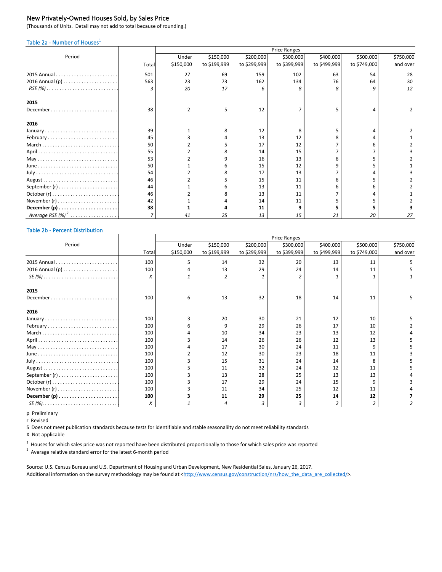### New Privately-Owned Houses Sold, by Sales Price

(Thousands of Units. Detail may not add to total because of rounding.)

### Table 2a - Number of Houses<sup>1</sup>

|                                                                         |       | <b>Price Ranges</b> |              |              |              |              |              |           |  |
|-------------------------------------------------------------------------|-------|---------------------|--------------|--------------|--------------|--------------|--------------|-----------|--|
| Period                                                                  |       | Under               | \$150,000    | \$200,000    | \$300,000    | \$400,000    | \$500,000    | \$750,000 |  |
|                                                                         | Total | \$150,000           | to \$199,999 | to \$299,999 | to \$399,999 | to \$499,999 | to \$749,000 | and over  |  |
|                                                                         | 501   | 27                  | 69           | 159          | 102          | 63           | 54           | 28        |  |
|                                                                         | 563   | 23                  | 73           | 162          | 134          | 76           | 64           | 30        |  |
| $RSE(%) \ldots \ldots \ldots \ldots \ldots \ldots \ldots \ldots \ldots$ | 3     | 20                  | 17           |              |              |              |              | 12        |  |
| 2015                                                                    |       |                     |              |              |              |              |              |           |  |
| December                                                                | 38    |                     | 5            | 12           | 7            |              |              |           |  |
| 2016                                                                    |       |                     |              |              |              |              |              |           |  |
|                                                                         | 39    |                     | 8            | 12           | 8            |              |              |           |  |
| February                                                                | 45    |                     |              | 13           | 12           |              |              |           |  |
| March                                                                   | 50    |                     |              | 17           | 12           |              |              |           |  |
|                                                                         | 55    |                     | 8            | 14           | 15           |              |              |           |  |
|                                                                         | 53    |                     | q            | 16           | 13           |              |              |           |  |
|                                                                         | 50    |                     | 6            | 15           | 12           |              |              |           |  |
|                                                                         | 54    |                     |              | 17           | 13           |              |              |           |  |
|                                                                         | 46    |                     |              | 15           | 11           |              |              |           |  |
| September $(r)$                                                         | 44    |                     | 6            | 13           | 11           |              |              |           |  |
|                                                                         | 46    |                     |              | 13           | 11           |              |              |           |  |
|                                                                         | 42    |                     |              | 14           | 11           |              |              |           |  |
|                                                                         | 38    |                     |              | 11           |              |              |              |           |  |
| Average RS <u>E (%)<sup>2</sup> </u> .                                  |       |                     | 25           | 13           | 15           | 21           | 20           | 27        |  |

#### Table 2b - Percent Distribution

|                                                                  |       | <b>Price Ranges</b> |              |              |              |              |              |           |  |  |
|------------------------------------------------------------------|-------|---------------------|--------------|--------------|--------------|--------------|--------------|-----------|--|--|
| Period                                                           |       | Under               | \$150,000    | \$200,000    | \$300,000    | \$400,000    | \$500,000    | \$750,000 |  |  |
|                                                                  | Total | \$150,000           | to \$199,999 | to \$299,999 | to \$399,999 | to \$499,999 | to \$749,000 | and over  |  |  |
|                                                                  | 100   |                     | 14           | 32           | 20           | 13           | 11           |           |  |  |
|                                                                  | 100   |                     | 13           | 29           | 24           | 14           | 11           |           |  |  |
| $SE(%)$                                                          | X     |                     | 2            |              |              |              |              |           |  |  |
| 2015                                                             |       |                     |              |              |              |              |              |           |  |  |
| $December \dots \dots \dots \dots \dots \dots \dots \dots \dots$ | 100   | 6                   | 13           | 32           | 18           | 14           | 11           |           |  |  |
| 2016                                                             |       |                     |              |              |              |              |              |           |  |  |
|                                                                  | 100   |                     | 20           | 30           | 21           | 12           | 10           |           |  |  |
| February                                                         | 100   |                     | q            | 29           | 26           | 17           | 10           |           |  |  |
| March                                                            | 100   |                     | 10           | 34           | 23           | 13           | 12           |           |  |  |
|                                                                  | 100   |                     | 14           | 26           | 26           | 12           | 13           |           |  |  |
|                                                                  | 100   |                     | 17           | 30           | 24           | 11           |              |           |  |  |
|                                                                  | 100   |                     | 12           | 30           | 23           | 18           | 11           |           |  |  |
|                                                                  | 100   |                     | 15           | 31           | 24           | 14           |              |           |  |  |
|                                                                  | 100   |                     | 11           | 32           | 24           | 12           | 11           |           |  |  |
|                                                                  | 100   |                     | 13           | 28           | 25           | 13           | 13           |           |  |  |
|                                                                  | 100   |                     | 17           | 29           | 24           | 15           |              |           |  |  |
|                                                                  | 100   |                     | 11           | 34           | 25           | 12           | 11           |           |  |  |
|                                                                  | 100   |                     | 11           | 29           | 25           | 14           | 12           |           |  |  |
|                                                                  | X     |                     | 4            |              | 3            |              |              |           |  |  |

p Preliminary

r Revised

S Does not meet publication standards because tests for identifiable and stable seasonalilty do not meet reliability standards

X Not applicable

 $^1$  Houses for which sales price was not reported have been distributed proportionally to those for which sales price was reported

 $2$  Average relative standard error for the latest 6-month period

Source: U.S. Census Bureau and U.S. Department of Housing and Urban Development, New Residential Sales, January 26, 2017. [Additional information on the survey methodology may be found at <http://www.census.gov/construction/nrs/how\\_the\\_data\\_are\\_collected/>.](http://www.census.gov/construction/nrs/how_the_data_are_collected/index.html#)